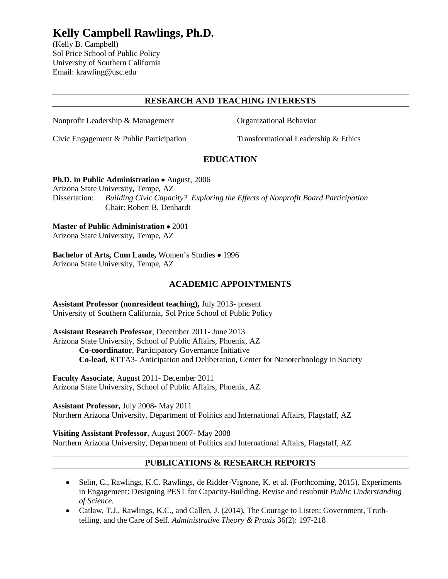# **Kelly Campbell Rawlings, Ph.D.**

(Kelly B. Campbell) Sol Price School of Public Policy University of Southern California Email: krawling@usc.edu

### **RESEARCH AND TEACHING INTERESTS**

Nonprofit Leadership & Management Organizational Behavior

Civic Engagement & Public Participation Transformational Leadership & Ethics

# **EDUCATION**

#### **Ph.D. in Public Administration** • August, 2006

Arizona State University**,** Tempe, AZ Dissertation: *Building Civic Capacity? Exploring the Effects of Nonprofit Board Participation*  Chair: Robert B. Denhardt

**Master of Public Administration** • 2001 Arizona State University, Tempe, AZ

**Bachelor of Arts, Cum Laude,** Women's Studies • 1996 Arizona State University, Tempe, AZ

#### **ACADEMIC APPOINTMENTS**

**Assistant Professor (nonresident teaching),** July 2013- present University of Southern California, Sol Price School of Public Policy

**Assistant Research Professor**, December 2011- June 2013 Arizona State University, School of Public Affairs, Phoenix, AZ **Co-coordinator**, Participatory Governance Initiative **Co-lead,** RTTA3- Anticipation and Deliberation, Center for Nanotechnology in Society

**Faculty Associate**, August 2011- December 2011 Arizona State University, School of Public Affairs, Phoenix, AZ

**Assistant Professor,** July 2008- May 2011 Northern Arizona University, Department of Politics and International Affairs, Flagstaff, AZ

**Visiting Assistant Professor**, August 2007- May 2008 Northern Arizona University, Department of Politics and International Affairs, Flagstaff, AZ

#### **PUBLICATIONS & RESEARCH REPORTS**

- Selin, C., Rawlings, K.C. Rawlings, de Ridder-Vignone, K. et al. (Forthcoming, 2015). Experiments in Engagement: Designing PEST for Capacity-Building. Revise and resubmit *Public Understanding of Science.*
- Catlaw, T.J., Rawlings, K.C., and Callen, J. (2014). The Courage to Listen: Government, Truthtelling, and the Care of Self. *Administrative Theory & Praxis* 36(2): 197-218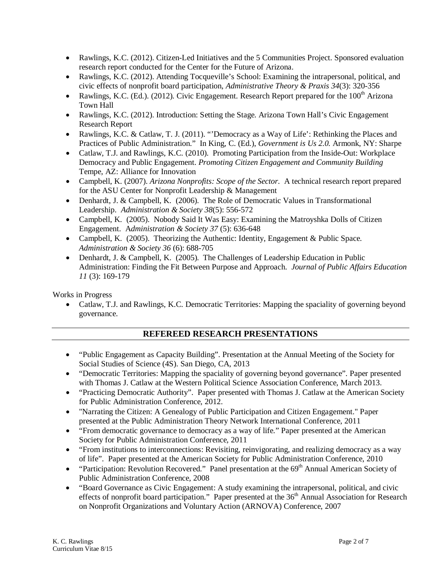- Rawlings, K.C. (2012). Citizen-Led Initiatives and the 5 Communities Project. Sponsored evaluation research report conducted for the Center for the Future of Arizona.
- Rawlings, K.C. (2012). Attending Tocqueville's School: Examining the intrapersonal, political, and civic effects of nonprofit board participation, *Administrative Theory & Praxis 34*(3): 320-356
- Rawlings, K.C. (Ed.). (2012). Civic Engagement. Research Report prepared for the  $100<sup>th</sup>$  Arizona Town Hall
- Rawlings, K.C. (2012). Introduction: Setting the Stage. Arizona Town Hall's Civic Engagement Research Report
- Rawlings, K.C. & Catlaw, T. J. (2011). "'Democracy as a Way of Life': Rethinking the Places and Practices of Public Administration." In King, C. (Ed.), *Government is Us 2.0.* Armonk, NY: Sharpe
- Catlaw, T.J. and Rawlings, K.C. (2010). Promoting Participation from the Inside-Out: Workplace Democracy and Public Engagement. *Promoting Citizen Engagement and Community Building* Tempe, AZ: Alliance for Innovation
- Campbell, K. (2007). *Arizona Nonprofits: Scope of the Sector.* A technical research report prepared for the ASU Center for Nonprofit Leadership & Management
- Denhardt, J. & Campbell, K. (2006). The Role of Democratic Values in Transformational Leadership. *Administration & Society 38*(5): 556-572
- Campbell, K. (2005). Nobody Said It Was Easy: Examining the Matroyshka Dolls of Citizen Engagement. A*dministration & Society 37* (5): 636-648
- Campbell, K. (2005). Theorizing the Authentic: Identity, Engagement & Public Space. *Administration & Society 36* (6): 688-705
- Denhardt, J. & Campbell, K. (2005). The Challenges of Leadership Education in Public Administration: Finding the Fit Between Purpose and Approach. *Journal of Public Affairs Education 11* (3): 169-179

Works in Progress

• Catlaw, T.J. and Rawlings, K.C. Democratic Territories: Mapping the spaciality of governing beyond governance.

# **REFEREED RESEARCH PRESENTATIONS**

- "Public Engagement as Capacity Building". Presentation at the Annual Meeting of the Society for Social Studies of Science (4S). San Diego, CA, 2013
- "Democratic Territories: Mapping the spaciality of governing beyond governance". Paper presented with Thomas J. Catlaw at the Western Political Science Association Conference, March 2013.
- "Practicing Democratic Authority". Paper presented with Thomas J. Catlaw at the American Society for Public Administration Conference, 2012.
- "Narrating the Citizen: A Genealogy of Public Participation and Citizen Engagement." Paper presented at the Public Administration Theory Network International Conference, 2011
- "From democratic governance to democracy as a way of life." Paper presented at the American Society for Public Administration Conference, 2011
- "From institutions to interconnections: Revisiting, reinvigorating, and realizing democracy as a way of life". Paper presented at the American Society for Public Administration Conference, 2010
- "Participation: Revolution Recovered." Panel presentation at the  $69<sup>th</sup>$  Annual American Society of Public Administration Conference, 2008
- "Board Governance as Civic Engagement: A study examining the intrapersonal, political, and civic effects of nonprofit board participation." Paper presented at the  $36<sup>th</sup>$  Annual Association for Research on Nonprofit Organizations and Voluntary Action (ARNOVA) Conference, 2007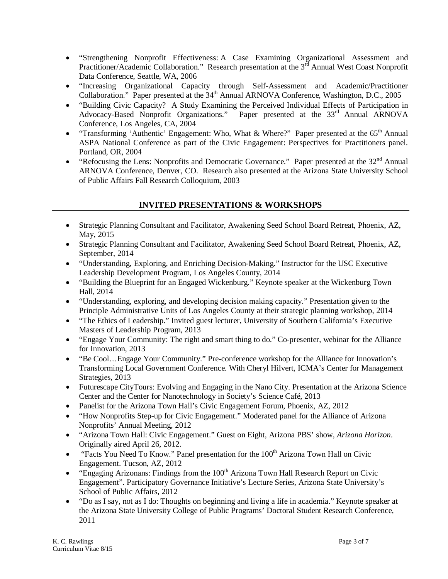- "Strengthening Nonprofit Effectiveness: A Case Examining Organizational Assessment and Practitioner/Academic Collaboration." Research presentation at the  $3<sup>rd</sup>$  Annual West Coast Nonprofit Data Conference, Seattle, WA, 2006
- "Increasing Organizational Capacity through Self-Assessment and Academic/Practitioner Collaboration." Paper presented at the 34<sup>th</sup> Annual ARNOVA Conference, Washington, D.C., 2005
- "Building Civic Capacity? A Study Examining the Perceived Individual Effects of Participation in Advocacy-Based Nonprofit Organizations." Paper presented at the 33<sup>rd</sup> Annual ARNOVA Conference, Los Angeles, CA, 2004
- "Transforming 'Authentic' Engagement: Who, What & Where?" Paper presented at the  $65<sup>th</sup>$  Annual ASPA National Conference as part of the Civic Engagement: Perspectives for Practitioners panel. Portland, OR, 2004
- "Refocusing the Lens: Nonprofits and Democratic Governance." Paper presented at the  $32<sup>nd</sup>$  Annual ARNOVA Conference, Denver, CO. Research also presented at the Arizona State University School of Public Affairs Fall Research Colloquium, 2003

# **INVITED PRESENTATIONS & WORKSHOPS**

- Strategic Planning Consultant and Facilitator, Awakening Seed School Board Retreat, Phoenix, AZ, May, 2015
- Strategic Planning Consultant and Facilitator, Awakening Seed School Board Retreat, Phoenix, AZ, September, 2014
- "Understanding, Exploring, and Enriching Decision-Making." Instructor for the USC Executive Leadership Development Program, Los Angeles County, 2014
- "Building the Blueprint for an Engaged Wickenburg." Keynote speaker at the Wickenburg Town Hall, 2014
- "Understanding, exploring, and developing decision making capacity." Presentation given to the Principle Administrative Units of Los Angeles County at their strategic planning workshop, 2014
- "The Ethics of Leadership." Invited guest lecturer, University of Southern California's Executive Masters of Leadership Program, 2013
- "Engage Your Community: The right and smart thing to do." Co-presenter, webinar for the Alliance for Innovation, 2013
- "Be Cool…Engage Your Community." Pre-conference workshop for the Alliance for Innovation's Transforming Local Government Conference. With Cheryl Hilvert, ICMA's Center for Management Strategies, 2013
- Futurescape CityTours: Evolving and Engaging in the Nano City. Presentation at the Arizona Science Center and the Center for Nanotechnology in Society's Science Café, 2013
- Panelist for the Arizona Town Hall's Civic Engagement Forum, Phoenix, AZ, 2012
- "How Nonprofits Step-up for Civic Engagement." Moderated panel for the Alliance of Arizona Nonprofits' Annual Meeting, 2012
- "Arizona Town Hall: Civic Engagement." Guest on Eight, Arizona PBS' show, *Arizona Horizon*. Originally aired April 26, 2012.
- "Facts You Need To Know." Panel presentation for the  $100<sup>th</sup>$  Arizona Town Hall on Civic Engagement. Tucson, AZ, 2012
- "Engaging Arizonans: Findings from the  $100<sup>th</sup>$  Arizona Town Hall Research Report on Civic Engagement". Participatory Governance Initiative's Lecture Series, Arizona State University's School of Public Affairs, 2012
- "Do as I say, not as I do: Thoughts on beginning and living a life in academia." Keynote speaker at the Arizona State University College of Public Programs' Doctoral Student Research Conference, 2011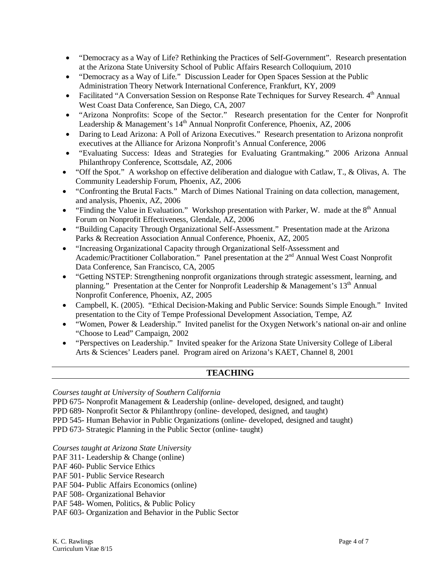- "Democracy as a Way of Life? Rethinking the Practices of Self-Government". Research presentation at the Arizona State University School of Public Affairs Research Colloquium, 2010
- "Democracy as a Way of Life." Discussion Leader for Open Spaces Session at the Public Administration Theory Network International Conference, Frankfurt, KY, 2009
- Facilitated "A Conversation Session on Response Rate Techniques for Survey Research. 4th Annual West Coast Data Conference, San Diego, CA, 2007
- "Arizona Nonprofits: Scope of the Sector." Research presentation for the Center for Nonprofit Leadership & Management's 14<sup>th</sup> Annual Nonprofit Conference, Phoenix, AZ, 2006
- Daring to Lead Arizona: A Poll of Arizona Executives." Research presentation to Arizona nonprofit executives at the Alliance for Arizona Nonprofit's Annual Conference, 2006
- "Evaluating Success: Ideas and Strategies for Evaluating Grantmaking." 2006 Arizona Annual Philanthropy Conference, Scottsdale, AZ, 2006
- "Off the Spot." A workshop on effective deliberation and dialogue with Catlaw, T., & Olivas, A. The Community Leadership Forum, Phoenix, AZ, 2006
- "Confronting the Brutal Facts." March of Dimes National Training on data collection, management, and analysis, Phoenix, AZ, 2006
- "Finding the Value in Evaluation." Workshop presentation with Parker, W. made at the  $8<sup>th</sup>$  Annual Forum on Nonprofit Effectiveness, Glendale, AZ, 2006
- "Building Capacity Through Organizational Self-Assessment." Presentation made at the Arizona Parks & Recreation Association Annual Conference, Phoenix, AZ, 2005
- "Increasing Organizational Capacity through Organizational Self-Assessment and Academic/Practitioner Collaboration." Panel presentation at the 2<sup>nd</sup> Annual West Coast Nonprofit Data Conference, San Francisco, CA, 2005
- "Getting NSTEP: Strengthening nonprofit organizations through strategic assessment, learning, and planning." Presentation at the Center for Nonprofit Leadership & Management's 13<sup>th</sup> Annual Nonprofit Conference, Phoenix, AZ, 2005
- Campbell, K. (2005). "Ethical Decision-Making and Public Service: Sounds Simple Enough." Invited presentation to the City of Tempe Professional Development Association, Tempe, AZ
- "Women, Power & Leadership." Invited panelist for the Oxygen Network's national on-air and online "Choose to Lead" Campaign, 2002
- "Perspectives on Leadership." Invited speaker for the Arizona State University College of Liberal Arts & Sciences' Leaders panel. Program aired on Arizona's KAET, Channel 8, 2001

# **TEACHING**

*Courses taught at University of Southern California*

- PPD 675- Nonprofit Management & Leadership (online- developed, designed, and taught)
- PPD 689- Nonprofit Sector & Philanthropy (online- developed, designed, and taught)
- PPD 545- Human Behavior in Public Organizations (online- developed, designed and taught)

PPD 673- Strategic Planning in the Public Sector (online- taught)

*Courses taught at Arizona State University* 

- PAF 311- Leadership & Change (online)
- PAF 460- Public Service Ethics
- PAF 501- Public Service Research
- PAF 504- Public Affairs Economics (online)
- PAF 508- Organizational Behavior
- PAF 548- Women, Politics, & Public Policy

PAF 603- Organization and Behavior in the Public Sector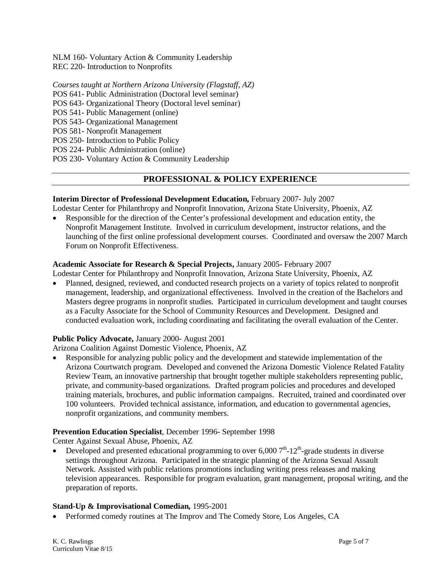NLM 160- Voluntary Action & Community Leadership REC 220- Introduction to Nonprofits

*Courses taught at Northern Arizona University (Flagstaff, AZ)* POS 641- Public Administration (Doctoral level seminar) POS 643- Organizational Theory (Doctoral level seminar)

POS 541- Public Management (online)

POS 543- Organizational Management

POS 581- Nonprofit Management

POS 250- Introduction to Public Policy

POS 224- Public Administration (online)

POS 230- Voluntary Action & Community Leadership

# **PROFESSIONAL & POLICY EXPERIENCE**

#### **Interim Director of Professional Development Education,** February 2007- July 2007

Lodestar Center for Philanthropy and Nonprofit Innovation, Arizona State University, Phoenix, AZ

• Responsible for the direction of the Center's professional development and education entity, the Nonprofit Management Institute. Involved in curriculum development, instructor relations, and the launching of the first online professional development courses. Coordinated and oversaw the 2007 March Forum on Nonprofit Effectiveness.

#### **Academic Associate for Research & Special Projects,** January 2005- February 2007

Lodestar Center for Philanthropy and Nonprofit Innovation, Arizona State University, Phoenix, AZ

• Planned, designed, reviewed, and conducted research projects on a variety of topics related to nonprofit management, leadership, and organizational effectiveness. Involved in the creation of the Bachelors and Masters degree programs in nonprofit studies. Participated in curriculum development and taught courses as a Faculty Associate for the School of Community Resources and Development. Designed and conducted evaluation work, including coordinating and facilitating the overall evaluation of the Center.

#### **Public Policy Advocate,** January 2000- August 2001

Arizona Coalition Against Domestic Violence, Phoenix, AZ

• Responsible for analyzing public policy and the development and statewide implementation of the Arizona Courtwatch program. Developed and convened the Arizona Domestic Violence Related Fatality Review Team, an innovative partnership that brought together multiple stakeholders representing public, private, and community-based organizations. Drafted program policies and procedures and developed training materials, brochures, and public information campaigns. Recruited, trained and coordinated over 100 volunteers. Provided technical assistance, information, and education to governmental agencies, nonprofit organizations, and community members.

#### **Prevention Education Specialist**, December 1996- September 1998

Center Against Sexual Abuse, Phoenix, AZ

Developed and presented educational programming to over  $6,0007<sup>th</sup>$ -12<sup>th</sup>-grade students in diverse settings throughout Arizona. Participated in the strategic planning of the Arizona Sexual Assault Network. Assisted with public relations promotions including writing press releases and making television appearances. Responsible for program evaluation, grant management, proposal writing, and the preparation of reports.

#### **Stand-Up & Improvisational Comedian,** 1995-2001

• Performed comedy routines at The Improv and The Comedy Store, Los Angeles, CA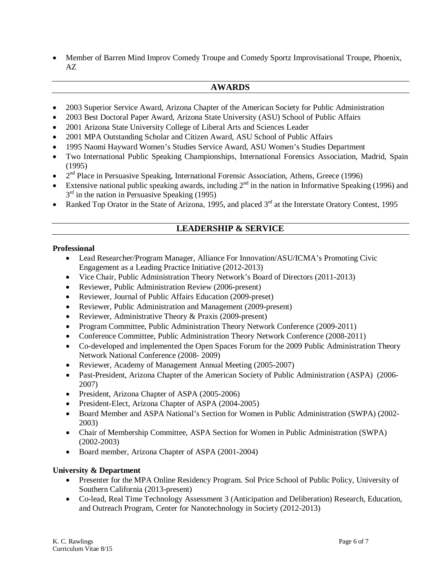• Member of Barren Mind Improv Comedy Troupe and Comedy Sportz Improvisational Troupe, Phoenix, AZ

## **AWARDS**

- 2003 Superior Service Award, Arizona Chapter of the American Society for Public Administration
- 2003 Best Doctoral Paper Award, Arizona State University (ASU) School of Public Affairs
- 2001 Arizona State University College of Liberal Arts and Sciences Leader
- 2001 MPA Outstanding Scholar and Citizen Award, ASU School of Public Affairs
- 1995 Naomi Hayward Women's Studies Service Award, ASU Women's Studies Department
- Two International Public Speaking Championships, International Forensics Association, Madrid, Spain (1995)
- $2<sup>nd</sup>$  Place in Persuasive Speaking, International Forensic Association, Athens, Greece (1996)
- Extensive national public speaking awards, including  $2^{nd}$  in the nation in Informative Speaking (1996) and  $3<sup>rd</sup>$  in the nation in Persuasive Speaking (1995)
- Ranked Top Orator in the State of Arizona, 1995, and placed  $3<sup>rd</sup>$  at the Interstate Oratory Contest, 1995

#### **LEADERSHIP & SERVICE**

#### **Professional**

- Lead Researcher/Program Manager, Alliance For Innovation/ASU/ICMA's Promoting Civic Engagement as a Leading Practice Initiative (2012-2013)
- Vice Chair, Public Administration Theory Network's Board of Directors (2011-2013)
- Reviewer, Public Administration Review (2006-present)
- Reviewer, Journal of Public Affairs Education (2009-preset)
- Reviewer, Public Administration and Management (2009-present)
- Reviewer, Administrative Theory & Praxis (2009-present)
- Program Committee, Public Administration Theory Network Conference (2009-2011)
- Conference Committee, Public Administration Theory Network Conference (2008-2011)
- Co-developed and implemented the Open Spaces Forum for the 2009 Public Administration Theory Network National Conference (2008- 2009)
- Reviewer, Academy of Management Annual Meeting (2005-2007)
- Past-President, Arizona Chapter of the American Society of Public Administration (ASPA) (2006-2007)
- President, Arizona Chapter of ASPA (2005-2006)
- President-Elect, Arizona Chapter of ASPA (2004-2005)
- Board Member and ASPA National's Section for Women in Public Administration (SWPA) (2002-2003)
- Chair of Membership Committee, ASPA Section for Women in Public Administration (SWPA) (2002-2003)
- Board member, Arizona Chapter of ASPA (2001-2004)

#### **University & Department**

- Presenter for the MPA Online Residency Program. Sol Price School of Public Policy, University of Southern California (2013-present)
- Co-lead, Real Time Technology Assessment 3 (Anticipation and Deliberation) Research, Education, and Outreach Program, Center for Nanotechnology in Society (2012-2013)